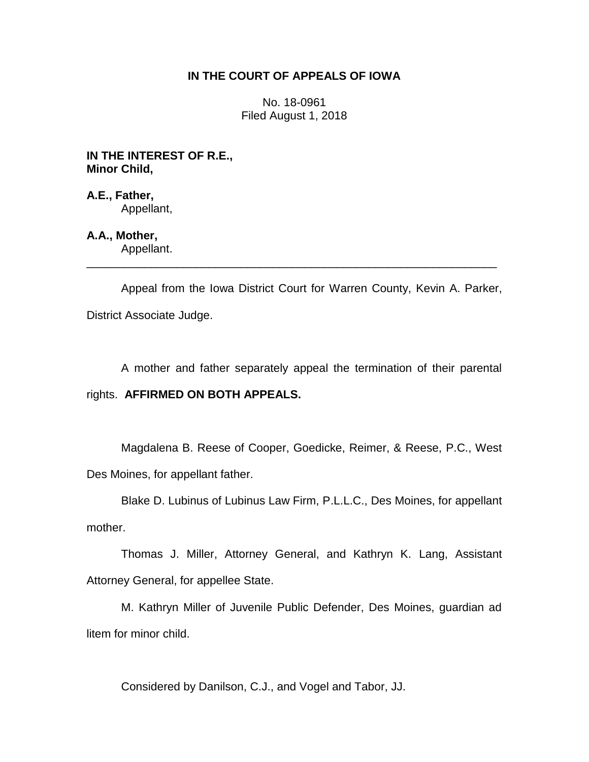# **IN THE COURT OF APPEALS OF IOWA**

No. 18-0961 Filed August 1, 2018

**IN THE INTEREST OF R.E., Minor Child,**

**A.E., Father,** Appellant,

**A.A., Mother,** Appellant.

Appeal from the Iowa District Court for Warren County, Kevin A. Parker, District Associate Judge.

\_\_\_\_\_\_\_\_\_\_\_\_\_\_\_\_\_\_\_\_\_\_\_\_\_\_\_\_\_\_\_\_\_\_\_\_\_\_\_\_\_\_\_\_\_\_\_\_\_\_\_\_\_\_\_\_\_\_\_\_\_\_\_\_

A mother and father separately appeal the termination of their parental rights. **AFFIRMED ON BOTH APPEALS.**

Magdalena B. Reese of Cooper, Goedicke, Reimer, & Reese, P.C., West Des Moines, for appellant father.

Blake D. Lubinus of Lubinus Law Firm, P.L.L.C., Des Moines, for appellant mother.

Thomas J. Miller, Attorney General, and Kathryn K. Lang, Assistant Attorney General, for appellee State.

M. Kathryn Miller of Juvenile Public Defender, Des Moines, guardian ad litem for minor child.

Considered by Danilson, C.J., and Vogel and Tabor, JJ.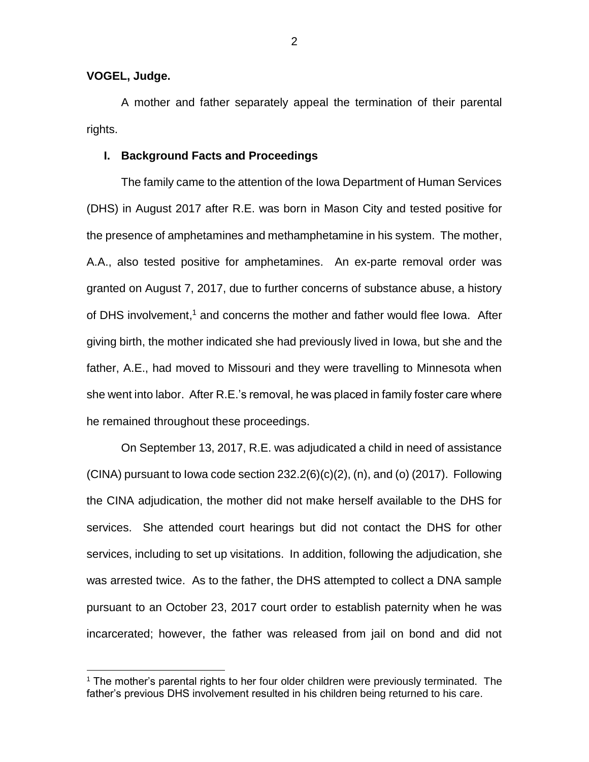### **VOGEL, Judge.**

 $\overline{a}$ 

A mother and father separately appeal the termination of their parental rights.

#### **I. Background Facts and Proceedings**

The family came to the attention of the Iowa Department of Human Services (DHS) in August 2017 after R.E. was born in Mason City and tested positive for the presence of amphetamines and methamphetamine in his system. The mother, A.A., also tested positive for amphetamines. An ex-parte removal order was granted on August 7, 2017, due to further concerns of substance abuse, a history of DHS involvement, <sup>1</sup> and concerns the mother and father would flee Iowa. After giving birth, the mother indicated she had previously lived in Iowa, but she and the father, A.E., had moved to Missouri and they were travelling to Minnesota when she went into labor. After R.E.'s removal, he was placed in family foster care where he remained throughout these proceedings.

On September 13, 2017, R.E. was adjudicated a child in need of assistance  $(CINA)$  pursuant to lowa code section  $232.2(6)(c)(2)$ , (n), and (o)  $(2017)$ . Following the CINA adjudication, the mother did not make herself available to the DHS for services. She attended court hearings but did not contact the DHS for other services, including to set up visitations. In addition, following the adjudication, she was arrested twice. As to the father, the DHS attempted to collect a DNA sample pursuant to an October 23, 2017 court order to establish paternity when he was incarcerated; however, the father was released from jail on bond and did not

<sup>&</sup>lt;sup>1</sup> The mother's parental rights to her four older children were previously terminated. The father's previous DHS involvement resulted in his children being returned to his care.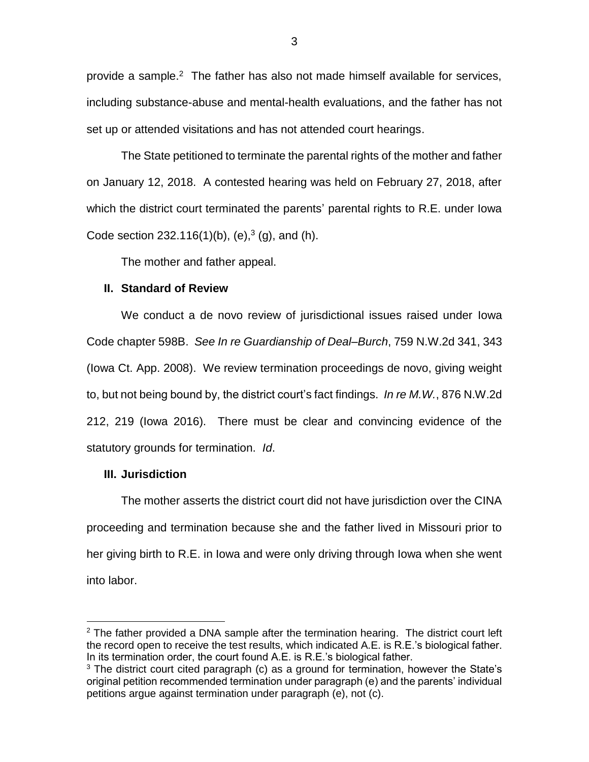provide a sample.<sup>2</sup> The father has also not made himself available for services, including substance-abuse and mental-health evaluations, and the father has not set up or attended visitations and has not attended court hearings.

The State petitioned to terminate the parental rights of the mother and father on January 12, 2018. A contested hearing was held on February 27, 2018, after which the district court terminated the parents' parental rights to R.E. under Iowa Code section 232.116(1)(b), (e), $3$  (g), and (h).

The mother and father appeal.

## **II. Standard of Review**

We conduct a de novo review of jurisdictional issues raised under Iowa Code chapter 598B. *See In re Guardianship of Deal–Burch*, 759 N.W.2d 341, 343 (Iowa Ct. App. 2008). We review termination proceedings de novo, giving weight to, but not being bound by, the district court's fact findings. *In re M.W.*, 876 N.W.2d 212, 219 (Iowa 2016). There must be clear and convincing evidence of the statutory grounds for termination. *Id*.

## **III. Jurisdiction**

 $\overline{a}$ 

The mother asserts the district court did not have jurisdiction over the CINA proceeding and termination because she and the father lived in Missouri prior to her giving birth to R.E. in Iowa and were only driving through Iowa when she went into labor.

 $2$  The father provided a DNA sample after the termination hearing. The district court left the record open to receive the test results, which indicated A.E. is R.E.'s biological father. In its termination order, the court found A.E. is R.E.'s biological father.

 $3$  The district court cited paragraph (c) as a ground for termination, however the State's original petition recommended termination under paragraph (e) and the parents' individual petitions argue against termination under paragraph (e), not (c).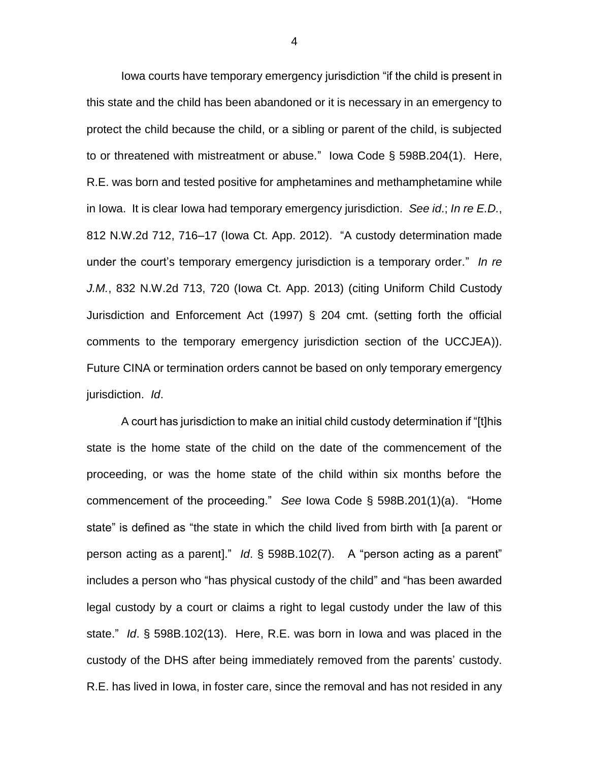Iowa courts have temporary emergency jurisdiction "if the child is present in this state and the child has been abandoned or it is necessary in an emergency to protect the child because the child, or a sibling or parent of the child, is subjected to or threatened with mistreatment or abuse." Iowa Code § 598B.204(1). Here, R.E. was born and tested positive for amphetamines and methamphetamine while in Iowa. It is clear Iowa had temporary emergency jurisdiction. *See id*.; *In re E.D.*, 812 N.W.2d 712, 716–17 (Iowa Ct. App. 2012). "A custody determination made under the court's temporary emergency jurisdiction is a temporary order." *In re J.M.*, 832 N.W.2d 713, 720 (Iowa Ct. App. 2013) (citing Uniform Child Custody Jurisdiction and Enforcement Act (1997) § 204 cmt. (setting forth the official comments to the temporary emergency jurisdiction section of the UCCJEA)). Future CINA or termination orders cannot be based on only temporary emergency jurisdiction. *Id*.

A court has jurisdiction to make an initial child custody determination if "[t]his state is the home state of the child on the date of the commencement of the proceeding, or was the home state of the child within six months before the commencement of the proceeding." *See* Iowa Code § 598B.201(1)(a). "Home state" is defined as "the state in which the child lived from birth with [a parent or person acting as a parent]." *Id*. § 598B.102(7). A "person acting as a parent" includes a person who "has physical custody of the child" and "has been awarded legal custody by a court or claims a right to legal custody under the law of this state." *Id*. § 598B.102(13). Here, R.E. was born in Iowa and was placed in the custody of the DHS after being immediately removed from the parents' custody. R.E. has lived in Iowa, in foster care, since the removal and has not resided in any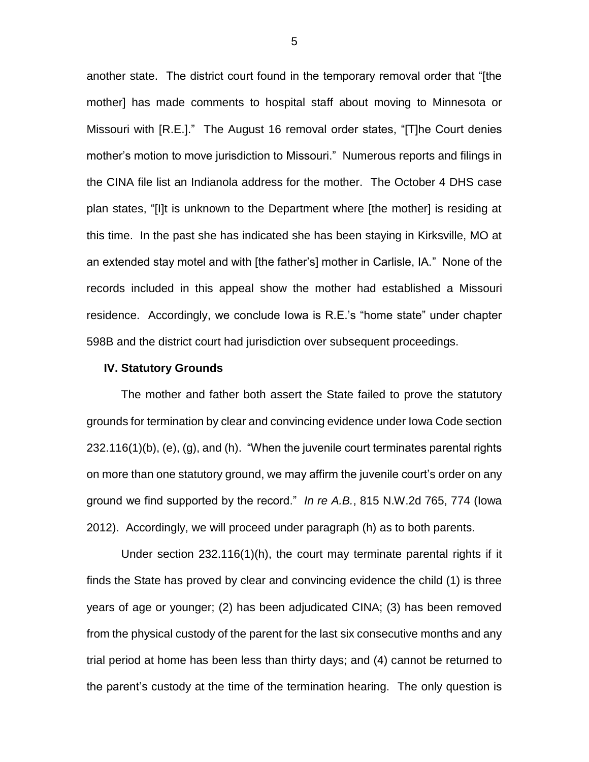another state. The district court found in the temporary removal order that "[the mother] has made comments to hospital staff about moving to Minnesota or Missouri with [R.E.]." The August 16 removal order states, "[T]he Court denies mother's motion to move jurisdiction to Missouri." Numerous reports and filings in the CINA file list an Indianola address for the mother. The October 4 DHS case plan states, "[I]t is unknown to the Department where [the mother] is residing at this time. In the past she has indicated she has been staying in Kirksville, MO at an extended stay motel and with [the father's] mother in Carlisle, IA." None of the records included in this appeal show the mother had established a Missouri residence. Accordingly, we conclude Iowa is R.E.'s "home state" under chapter 598B and the district court had jurisdiction over subsequent proceedings.

#### **IV. Statutory Grounds**

The mother and father both assert the State failed to prove the statutory grounds for termination by clear and convincing evidence under Iowa Code section 232.116(1)(b), (e), (g), and (h). "When the juvenile court terminates parental rights on more than one statutory ground, we may affirm the juvenile court's order on any ground we find supported by the record." *In re A.B.*, 815 N.W.2d 765, 774 (Iowa 2012). Accordingly, we will proceed under paragraph (h) as to both parents.

Under section 232.116(1)(h), the court may terminate parental rights if it finds the State has proved by clear and convincing evidence the child (1) is three years of age or younger; (2) has been adjudicated CINA; (3) has been removed from the physical custody of the parent for the last six consecutive months and any trial period at home has been less than thirty days; and (4) cannot be returned to the parent's custody at the time of the termination hearing. The only question is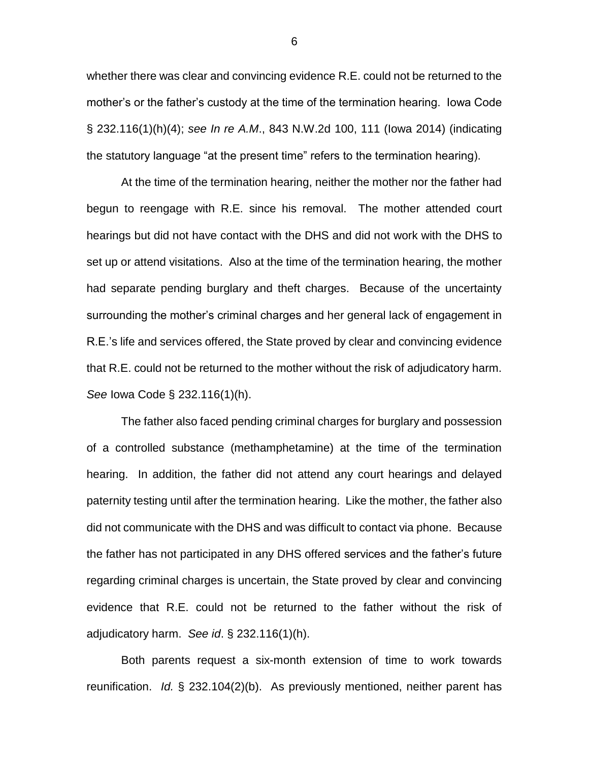whether there was clear and convincing evidence R.E. could not be returned to the mother's or the father's custody at the time of the termination hearing. Iowa Code § 232.116(1)(h)(4); *see In re A.M*., 843 N.W.2d 100, 111 (Iowa 2014) (indicating the statutory language "at the present time" refers to the termination hearing).

At the time of the termination hearing, neither the mother nor the father had begun to reengage with R.E. since his removal. The mother attended court hearings but did not have contact with the DHS and did not work with the DHS to set up or attend visitations. Also at the time of the termination hearing, the mother had separate pending burglary and theft charges. Because of the uncertainty surrounding the mother's criminal charges and her general lack of engagement in R.E.'s life and services offered, the State proved by clear and convincing evidence that R.E. could not be returned to the mother without the risk of adjudicatory harm. *See* Iowa Code § 232.116(1)(h).

The father also faced pending criminal charges for burglary and possession of a controlled substance (methamphetamine) at the time of the termination hearing. In addition, the father did not attend any court hearings and delayed paternity testing until after the termination hearing. Like the mother, the father also did not communicate with the DHS and was difficult to contact via phone. Because the father has not participated in any DHS offered services and the father's future regarding criminal charges is uncertain, the State proved by clear and convincing evidence that R.E. could not be returned to the father without the risk of adjudicatory harm. *See id*. § 232.116(1)(h).

Both parents request a six-month extension of time to work towards reunification. *Id.* § 232.104(2)(b). As previously mentioned, neither parent has

6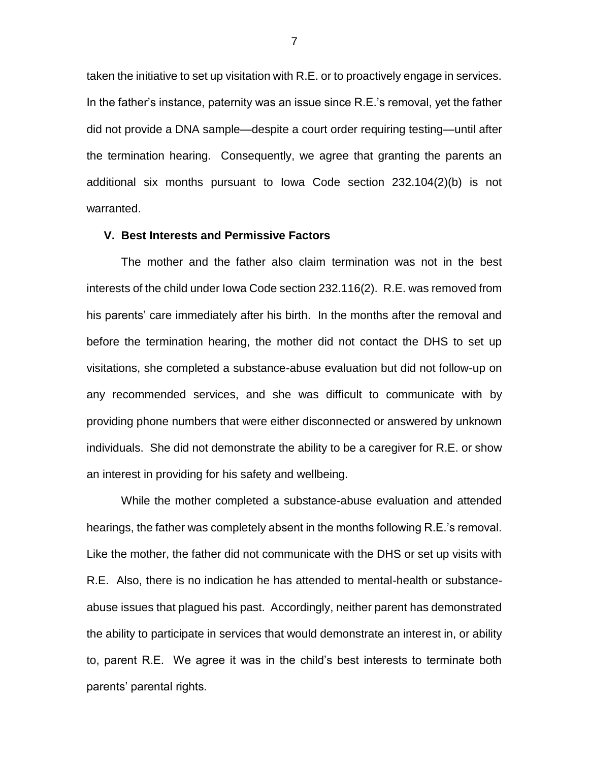taken the initiative to set up visitation with R.E. or to proactively engage in services. In the father's instance, paternity was an issue since R.E.'s removal, yet the father did not provide a DNA sample—despite a court order requiring testing—until after the termination hearing. Consequently, we agree that granting the parents an additional six months pursuant to Iowa Code section 232.104(2)(b) is not warranted.

### **V. Best Interests and Permissive Factors**

The mother and the father also claim termination was not in the best interests of the child under Iowa Code section 232.116(2). R.E. was removed from his parents' care immediately after his birth. In the months after the removal and before the termination hearing, the mother did not contact the DHS to set up visitations, she completed a substance-abuse evaluation but did not follow-up on any recommended services, and she was difficult to communicate with by providing phone numbers that were either disconnected or answered by unknown individuals. She did not demonstrate the ability to be a caregiver for R.E. or show an interest in providing for his safety and wellbeing.

While the mother completed a substance-abuse evaluation and attended hearings, the father was completely absent in the months following R.E.'s removal. Like the mother, the father did not communicate with the DHS or set up visits with R.E. Also, there is no indication he has attended to mental-health or substanceabuse issues that plagued his past. Accordingly, neither parent has demonstrated the ability to participate in services that would demonstrate an interest in, or ability to, parent R.E. We agree it was in the child's best interests to terminate both parents' parental rights.

7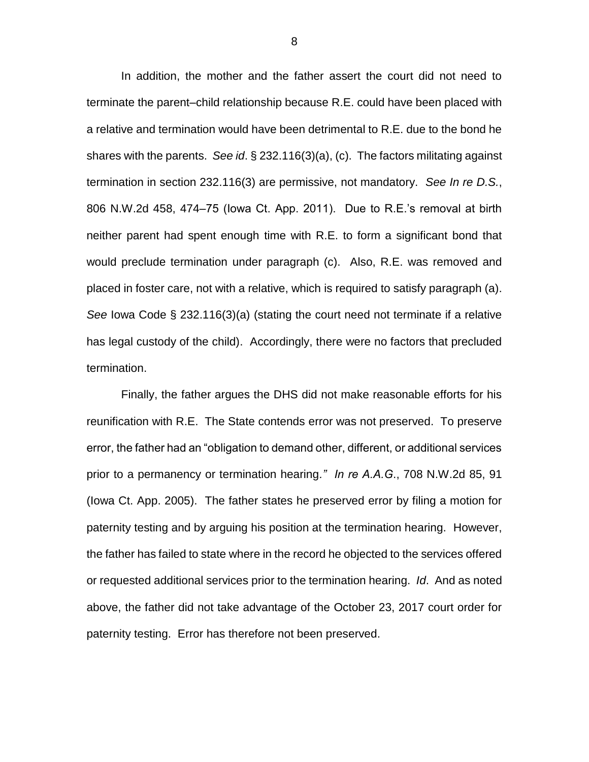In addition, the mother and the father assert the court did not need to terminate the parent–child relationship because R.E. could have been placed with a relative and termination would have been detrimental to R.E. due to the bond he shares with the parents. *See id*. § 232.116(3)(a), (c). The factors militating against termination in section 232.116(3) are permissive, not mandatory. *See In re D.S.*, 806 N.W.2d 458, 474–75 (Iowa Ct. App. 2011). Due to R.E.'s removal at birth neither parent had spent enough time with R.E. to form a significant bond that would preclude termination under paragraph (c). Also, R.E. was removed and placed in foster care, not with a relative, which is required to satisfy paragraph (a). *See* Iowa Code § 232.116(3)(a) (stating the court need not terminate if a relative has legal custody of the child). Accordingly, there were no factors that precluded termination.

Finally, the father argues the DHS did not make reasonable efforts for his reunification with R.E. The State contends error was not preserved. To preserve error, the father had an "obligation to demand other, different, or additional services prior to a permanency or termination hearing*." In re A.A.G*., 708 N.W.2d 85, 91 (Iowa Ct. App. 2005). The father states he preserved error by filing a motion for paternity testing and by arguing his position at the termination hearing. However, the father has failed to state where in the record he objected to the services offered or requested additional services prior to the termination hearing. *Id*. And as noted above, the father did not take advantage of the October 23, 2017 court order for paternity testing. Error has therefore not been preserved.